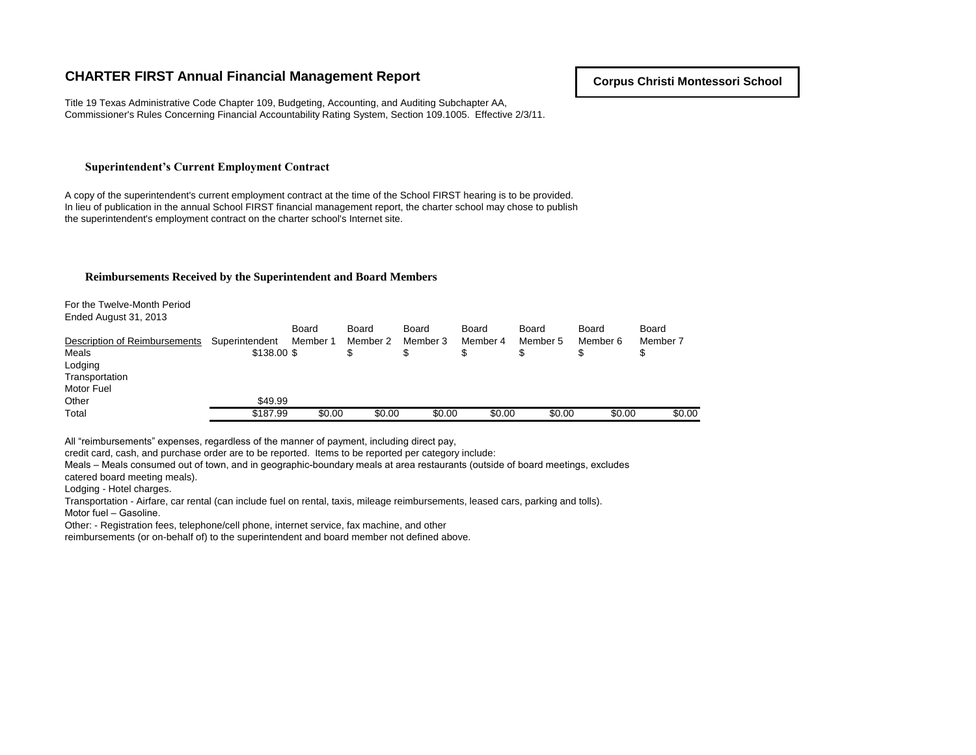# **CHARTER FIRST Annual Financial Management Report**

Title 19 Texas Administrative Code Chapter 109, Budgeting, Accounting, and Auditing Subchapter AA, Commissioner's Rules Concerning Financial Accountability Rating System, Section 109.1005. Effective 2/3/11.

#### **Superintendent's Current Employment Contract**

A copy of the superintendent's current employment contract at the time of the School FIRST hearing is to be provided. In lieu of publication in the annual School FIRST financial management report, the charter school may chose to publish the superintendent's employment contract on the charter school's Internet site.

#### **Reimbursements Received by the Superintendent and Board Members**

For the Twelve-Month Period Ended August 31, 2013

| _                             |                |          |              |          |          |          |          |          |
|-------------------------------|----------------|----------|--------------|----------|----------|----------|----------|----------|
|                               |                | Board    | <b>Board</b> | Board    | Board    | Board    | Board    | Board    |
| Description of Reimbursements | Superintendent | Member 1 | Member 2     | Member 3 | Member 4 | Member 5 | Member 6 | Member 7 |
| Meals                         | \$138,00 \$    |          |              |          |          |          |          |          |
| Lodging                       |                |          |              |          |          |          |          |          |
| Transportation                |                |          |              |          |          |          |          |          |
| Motor Fuel                    |                |          |              |          |          |          |          |          |
| Other                         | \$49.99        |          |              |          |          |          |          |          |
| Total                         | \$187.99       | \$0.00   | \$0.00       | \$0.00   | \$0.00   | \$0.00   | \$0.00   | \$0.00   |

All "reimbursements" expenses, regardless of the manner of payment, including direct pay,

credit card, cash, and purchase order are to be reported. Items to be reported per category include:

Meals – Meals consumed out of town, and in geographic-boundary meals at area restaurants (outside of board meetings, excludes

catered board meeting meals).

Lodging - Hotel charges.

Transportation - Airfare, car rental (can include fuel on rental, taxis, mileage reimbursements, leased cars, parking and tolls). Motor fuel – Gasoline.

Other: - Registration fees, telephone/cell phone, internet service, fax machine, and other

reimbursements (or on-behalf of) to the superintendent and board member not defined above.